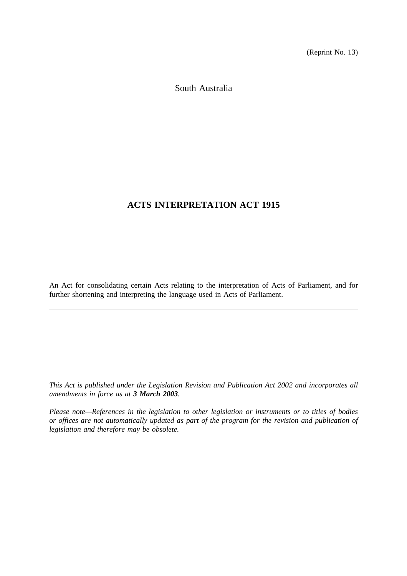(Reprint No. 13)

South Australia

# **ACTS INTERPRETATION ACT 1915**

An Act for consolidating certain Acts relating to the interpretation of Acts of Parliament, and for further shortening and interpreting the language used in Acts of Parliament.

*This Act is published under the Legislation Revision and Publication Act 2002 and incorporates all amendments in force as at 3 March 2003.*

*Please note—References in the legislation to other legislation or instruments or to titles of bodies or offices are not automatically updated as part of the program for the revision and publication of legislation and therefore may be obsolete.*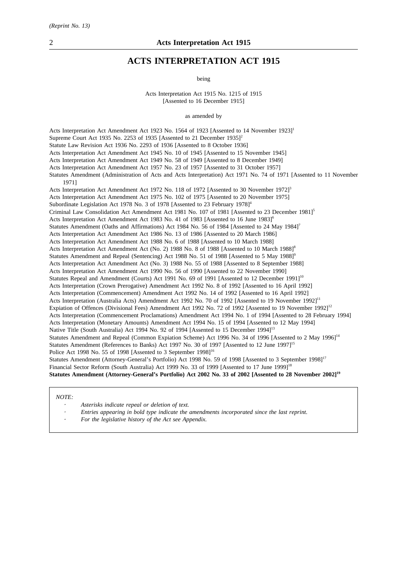# **ACTS INTERPRETATION ACT 1915**

being

Acts Interpretation Act 1915 No. 1215 of 1915 [Assented to 16 December 1915]

as amended by

Acts Interpretation Act Amendment Act 1923 No. 1564 of 1923 [Assented to 14 November 1923]<sup>1</sup> Supreme Court Act 1935 No. 2253 of 1935 [Assented to 21 December 1935]<sup>2</sup> Statute Law Revision Act 1936 No. 2293 of 1936 [Assented to 8 October 1936] Acts Interpretation Act Amendment Act 1945 No. 10 of 1945 [Assented to 15 November 1945] Acts Interpretation Act Amendment Act 1949 No. 58 of 1949 [Assented to 8 December 1949] Acts Interpretation Act Amendment Act 1957 No. 23 of 1957 [Assented to 31 October 1957] Statutes Amendment (Administration of Acts and Acts Interpretation) Act 1971 No. 74 of 1971 [Assented to 11 November 1971] Acts Interpretation Act Amendment Act 1972 No. 118 of 1972 [Assented to 30 November 1972]<sup>3</sup> Acts Interpretation Act Amendment Act 1975 No. 102 of 1975 [Assented to 20 November 1975] Subordinate Legislation Act 1978 No. 3 of 1978 [Assented to 23 February 1978]<sup>4</sup> Criminal Law Consolidation Act Amendment Act 1981 No. 107 of 1981 [Assented to 23 December 1981]<sup>5</sup> Acts Interpretation Act Amendment Act 1983 No. 41 of 1983 [Assented to 16 June 1983]<sup>6</sup> Statutes Amendment (Oaths and Affirmations) Act 1984 No. 56 of 1984 [Assented to 24 May 1984]<sup>7</sup> Acts Interpretation Act Amendment Act 1986 No. 13 of 1986 [Assented to 20 March 1986] Acts Interpretation Act Amendment Act 1988 No. 6 of 1988 [Assented to 10 March 1988] Acts Interpretation Act Amendment Act (No. 2) 1988 No. 8 of 1988 [Assented to 10 March 1988]<sup>8</sup> Statutes Amendment and Repeal (Sentencing) Act 1988 No. 51 of 1988 [Assented to 5 May 1988]<sup>9</sup> Acts Interpretation Act Amendment Act (No. 3) 1988 No. 55 of 1988 [Assented to 8 September 1988] Acts Interpretation Act Amendment Act 1990 No. 56 of 1990 [Assented to 22 November 1990] Statutes Repeal and Amendment (Courts) Act 1991 No. 69 of 1991 [Assented to 12 December 1991]<sup>10</sup> Acts Interpretation (Crown Prerogative) Amendment Act 1992 No. 8 of 1992 [Assented to 16 April 1992] Acts Interpretation (Commencement) Amendment Act 1992 No. 14 of 1992 [Assented to 16 April 1992] Acts Interpretation (Australia Acts) Amendment Act 1992 No. 70 of 1992 [Assented to 19 November 1992]<sup>11</sup> Expiation of Offences (Divisional Fees) Amendment Act 1992 No. 72 of 1992 [Assented to 19 November 1992]<sup>12</sup> Acts Interpretation (Commencement Proclamations) Amendment Act 1994 No. 1 of 1994 [Assented to 28 February 1994] Acts Interpretation (Monetary Amounts) Amendment Act 1994 No. 15 of 1994 [Assented to 12 May 1994] Native Title (South Australia) Act 1994 No. 92 of 1994 [Assented to 15 December 1994]<sup>13</sup> Statutes Amendment and Repeal (Common Expiation Scheme) Act 1996 No. 34 of 1996 [Assented to 2 May 1996]<sup>14</sup> Statutes Amendment (References to Banks) Act 1997 No. 30 of 1997 [Assented to 12 June 1997]<sup>15</sup> Police Act 1998 No. 55 of 1998 [Assented to 3 September 1998]<sup>16</sup> Statutes Amendment (Attorney-General's Portfolio) Act 1998 No. 59 of 1998 [Assented to 3 September 1998]<sup>17</sup> Financial Sector Reform (South Australia) Act 1999 No. 33 of 1999 [Assented to 17 June 1999]<sup>18</sup> **Statutes Amendment (Attorney-General's Portfolio) Act 2002 No. 33 of 2002 [Assented to 28 November 2002]19**

#### *NOTE:*

- *Asterisks indicate repeal or deletion of text.*
- *Entries appearing in bold type indicate the amendments incorporated since the last reprint.*
- *For the legislative history of the Act see Appendix.*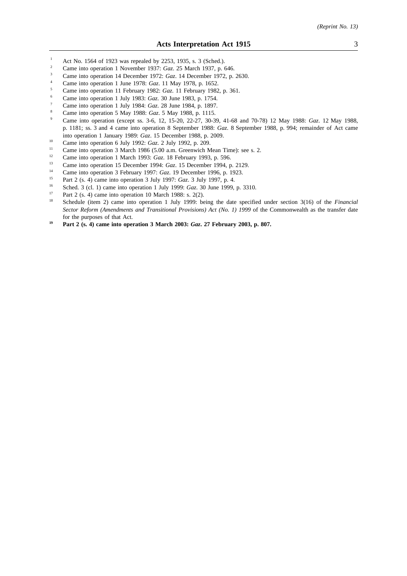- <sup>1</sup> Act No. 1564 of 1923 was repealed by 2253, 1935, s. 3 (Sched.).<br><sup>2</sup> Came into operation 1 November 1937; Gaz. 25 March 1937, p.
- <sup>2</sup> Came into operation 1 November 1937: *Gaz*. 25 March 1937, p. 646.
- <sup>3</sup> Came into operation 14 December 1972: *Gaz*. 14 December 1972, p. 2630.
- <sup>4</sup> Came into operation 1 June 1978: *Gaz*. 11 May 1978, p. 1652.
- <sup>5</sup> Came into operation 11 February 1982: *Gaz*. 11 February 1982, p. 361.
- <sup>6</sup> Came into operation 1 July 1983: *Gaz*. 30 June 1983, p. 1754.
- <sup>7</sup> Came into operation 1 July 1984: *Gaz*. 28 June 1984, p. 1897.
- <sup>8</sup> Came into operation 5 May 1988: *Gaz*. 5 May 1988, p. 1115.
- <sup>9</sup> Came into operation (except ss. 3-6, 12, 15-20, 22-27, 30-39, 41-68 and 70-78) 12 May 1988: *Gaz*. 12 May 1988, p. 1181; ss. 3 and 4 came into operation 8 September 1988: *Gaz*. 8 September 1988, p. 994; remainder of Act came into operation 1 January 1989: *Gaz*. 15 December 1988, p. 2009.
- <sup>10</sup> Came into operation 6 July 1992: *Gaz*. 2 July 1992, p. 209.
- <sup>11</sup> Came into operation 3 March 1986 (5.00 a.m. Greenwich Mean Time): see s. 2.<br><sup>12</sup> Came into against 1 March 1993,  $C_{\text{max}}$  19 Eshmann 1993, p. 596
- <sup>12</sup> Came into operation 1 March 1993: *Gaz*. 18 February 1993, p. 596.
- <sup>13</sup> Came into operation 15 December 1994: *Gaz.* 15 December 1994, p. 2129.
- <sup>14</sup> Came into operation 3 February 1997: *Gaz*. 19 December 1996, p. 1923.
- <sup>15</sup> Part 2 (s. 4) came into operation 3 July 1997: *Gaz*. 3 July 1997, p. 4.<br><sup>16</sup> Sebed 2 (cl. 1) came into operation 1 July 1999, *Gaz*. 20 June 1999.
- <sup>16</sup> Sched. 3 (cl. 1) came into operation 1 July 1999: *Gaz*. 30 June 1999, p. 3310.
- <sup>17</sup> Part 2 (s. 4) came into operation 10 March 1988: s. 2(2).
- <sup>18</sup> Schedule (item 2) came into operation 1 July 1999: being the date specified under section 3(16) of the *Financial Sector Reform (Amendments and Transitional Provisions) Act (No. 1) 1999* of the Commonwealth as the transfer date for the purposes of that Act.
- **<sup>19</sup> Part 2 (s. 4) came into operation 3 March 2003:** *Gaz***. 27 February 2003, p. 807.**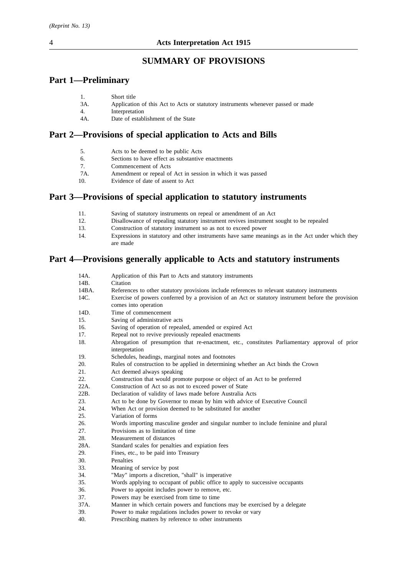# **SUMMARY OF PROVISIONS**

# **Part 1—Preliminary**

| Short title |
|-------------|
|             |

- 3A. Application of this Act to Acts or statutory instruments whenever passed or made
- 4. Interpretation
- 4A. Date of establishment of the State

# **Part 2—Provisions of special application to Acts and Bills**

| 5.<br>Acts to be deemed to be public Acts |  |
|-------------------------------------------|--|
|-------------------------------------------|--|

- 6. Sections to have effect as substantive enactments
- 7. Commencement of Acts
- 7A. Amendment or repeal of Act in session in which it was passed 10. Evidence of date of assent to Act
- Evidence of date of assent to Act

# **Part 3—Provisions of special application to statutory instruments**

- 11. Saving of statutory instruments on repeal or amendment of an Act 12. Disallowance of repealing statutory instrument revives instrument s
- 12. Disallowance of repealing statutory instrument revives instrument sought to be repealed
- 13. Construction of statutory instrument so as not to exceed power
- 14. Expressions in statutory and other instruments have same meanings as in the Act under which they are made

# **Part 4—Provisions generally applicable to Acts and statutory instruments**

| 14A.  | Application of this Part to Acts and statutory instruments                                                       |  |  |
|-------|------------------------------------------------------------------------------------------------------------------|--|--|
| 14B.  | Citation                                                                                                         |  |  |
| 14BA. | References to other statutory provisions include references to relevant statutory instruments                    |  |  |
| 14C.  | Exercise of powers conferred by a provision of an Act or statutory instrument before the provision               |  |  |
|       | comes into operation                                                                                             |  |  |
| 14D.  | Time of commencement                                                                                             |  |  |
| 15.   | Saving of administrative acts                                                                                    |  |  |
| 16.   | Saving of operation of repealed, amended or expired Act                                                          |  |  |
| 17.   | Repeal not to revive previously repealed enactments                                                              |  |  |
| 18.   | Abrogation of presumption that re-enactment, etc., constitutes Parliamentary approval of prior<br>interpretation |  |  |
| 19.   | Schedules, headings, marginal notes and footnotes                                                                |  |  |
| 20.   | Rules of construction to be applied in determining whether an Act binds the Crown                                |  |  |
| 21.   | Act deemed always speaking                                                                                       |  |  |
| 22.   | Construction that would promote purpose or object of an Act to be preferred                                      |  |  |
| 22A.  | Construction of Act so as not to exceed power of State                                                           |  |  |
| 22B.  | Declaration of validity of laws made before Australia Acts                                                       |  |  |
| 23.   | Act to be done by Governor to mean by him with advice of Executive Council                                       |  |  |
| 24.   | When Act or provision deemed to be substituted for another                                                       |  |  |
| 25.   | Variation of forms                                                                                               |  |  |
| 26.   | Words importing masculine gender and singular number to include feminine and plural                              |  |  |
| 27.   | Provisions as to limitation of time                                                                              |  |  |
| 28.   | Measurement of distances                                                                                         |  |  |
| 28A.  | Standard scales for penalties and expiation fees                                                                 |  |  |
| 29.   | Fines, etc., to be paid into Treasury                                                                            |  |  |
| 30.   | Penalties                                                                                                        |  |  |
| 33.   | Meaning of service by post                                                                                       |  |  |
| 34.   | "May" imports a discretion, "shall" is imperative                                                                |  |  |
| 35.   | Words applying to occupant of public office to apply to successive occupants                                     |  |  |
| 36.   | Power to appoint includes power to remove, etc.                                                                  |  |  |
| 37.   | Powers may be exercised from time to time                                                                        |  |  |
| 37A.  | Manner in which certain powers and functions may be exercised by a delegate                                      |  |  |
| 39.   | Power to make regulations includes power to revoke or vary                                                       |  |  |
| 40.   | Prescribing matters by reference to other instruments                                                            |  |  |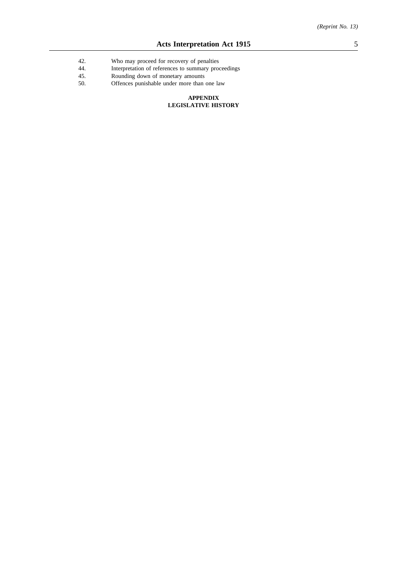- 42. Who may proceed for recovery of penalties
- 44. Interpretation of references to summary proceedings<br>45. Rounding down of monetary amounts
- 45. Rounding down of monetary amounts<br>50. Offences punishable under more than
- Offences punishable under more than one law

#### **APPENDIX LEGISLATIVE HISTORY**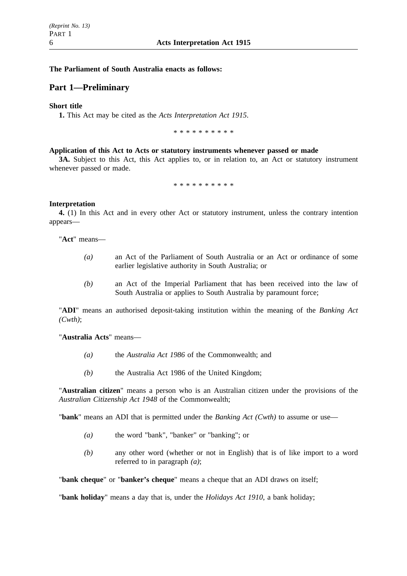## **The Parliament of South Australia enacts as follows:**

# **Part 1—Preliminary**

### **Short title**

**1.** This Act may be cited as the *Acts Interpretation Act 1915*.

\*\*\*\*\*\*\*\*\*\*

#### **Application of this Act to Acts or statutory instruments whenever passed or made**

**3A.** Subject to this Act, this Act applies to, or in relation to, an Act or statutory instrument whenever passed or made.

\*\*\*\*\*\*\*\*\*\*

### **Interpretation**

**4.** (1) In this Act and in every other Act or statutory instrument, unless the contrary intention appears—

"**Act**" means—

- *(a)* an Act of the Parliament of South Australia or an Act or ordinance of some earlier legislative authority in South Australia; or
- *(b)* an Act of the Imperial Parliament that has been received into the law of South Australia or applies to South Australia by paramount force;

"**ADI**" means an authorised deposit-taking institution within the meaning of the *Banking Act (Cwth)*;

"**Australia Acts**" means—

- *(a)* the *Australia Act 1986* of the Commonwealth; and
- *(b)* the Australia Act 1986 of the United Kingdom;

"**Australian citizen**" means a person who is an Australian citizen under the provisions of the *Australian Citizenship Act 1948* of the Commonwealth;

"**bank**" means an ADI that is permitted under the *Banking Act (Cwth)* to assume or use—

- *(a)* the word "bank", "banker" or "banking"; or
- *(b)* any other word (whether or not in English) that is of like import to a word referred to in paragraph *(a)*;

"**bank cheque**" or "**banker's cheque**" means a cheque that an ADI draws on itself;

"**bank holiday**" means a day that is, under the *Holidays Act 1910*, a bank holiday;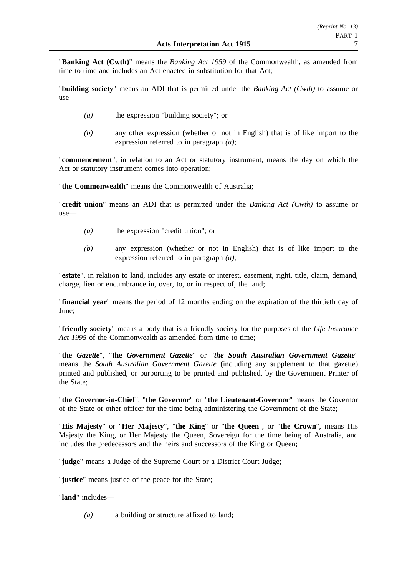"**Banking Act (Cwth)**" means the *Banking Act 1959* of the Commonwealth, as amended from time to time and includes an Act enacted in substitution for that Act;

"**building society**" means an ADI that is permitted under the *Banking Act (Cwth)* to assume or use—

- *(a)* the expression "building society"; or
- *(b)* any other expression (whether or not in English) that is of like import to the expression referred to in paragraph *(a)*;

"**commencement**", in relation to an Act or statutory instrument, means the day on which the Act or statutory instrument comes into operation;

"**the Commonwealth**" means the Commonwealth of Australia;

"**credit union**" means an ADI that is permitted under the *Banking Act (Cwth)* to assume or use—

- *(a)* the expression "credit union"; or
- *(b)* any expression (whether or not in English) that is of like import to the expression referred to in paragraph *(a)*;

"**estate**", in relation to land, includes any estate or interest, easement, right, title, claim, demand, charge, lien or encumbrance in, over, to, or in respect of, the land;

"**financial year**" means the period of 12 months ending on the expiration of the thirtieth day of June;

"**friendly society**" means a body that is a friendly society for the purposes of the *Life Insurance* Act 1995 of the Commonwealth as amended from time to time;

"**the** *Gazette*", "**the** *Government Gazette*" or "*the South Australian Government Gazette*" means the *South Australian Government Gazette* (including any supplement to that gazette) printed and published, or purporting to be printed and published, by the Government Printer of the State;

"**the Governor-in-Chief**", "**the Governor**" or "**the Lieutenant-Governor**" means the Governor of the State or other officer for the time being administering the Government of the State;

"**His Majesty**" or "**Her Majesty**", "**the King**" or "**the Queen**", or "**the Crown**", means His Majesty the King, or Her Majesty the Queen, Sovereign for the time being of Australia, and includes the predecessors and the heirs and successors of the King or Queen;

"**judge**" means a Judge of the Supreme Court or a District Court Judge;

"**justice**" means justice of the peace for the State;

"**land**" includes—

*(a)* a building or structure affixed to land;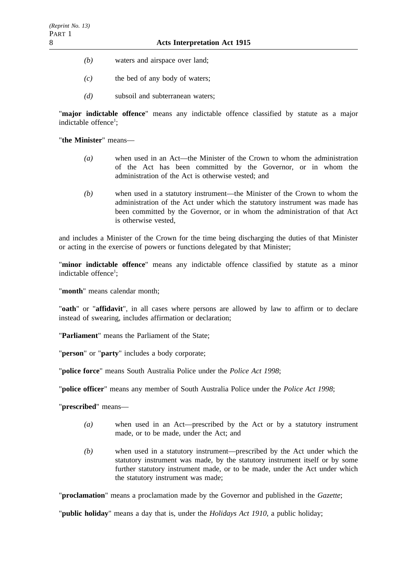- *(b)* waters and airspace over land;
- *(c)* the bed of any body of waters;
- *(d)* subsoil and subterranean waters;

"**major indictable offence**" means any indictable offence classified by statute as a major indictable offence<sup>1</sup>;

"**the Minister**" means—

- *(a)* when used in an Act—the Minister of the Crown to whom the administration of the Act has been committed by the Governor, or in whom the administration of the Act is otherwise vested; and
- *(b)* when used in a statutory instrument—the Minister of the Crown to whom the administration of the Act under which the statutory instrument was made has been committed by the Governor, or in whom the administration of that Act is otherwise vested,

and includes a Minister of the Crown for the time being discharging the duties of that Minister or acting in the exercise of powers or functions delegated by that Minister;

"**minor indictable offence**" means any indictable offence classified by statute as a minor indictable offence<sup>1</sup>;

"**month**" means calendar month;

"**oath**" or "**affidavit**", in all cases where persons are allowed by law to affirm or to declare instead of swearing, includes affirmation or declaration;

"**Parliament**" means the Parliament of the State;

"**person**" or "**party**" includes a body corporate;

"**police force**" means South Australia Police under the *Police Act 1998*;

"**police officer**" means any member of South Australia Police under the *Police Act 1998*;

"**prescribed**" means—

- *(a)* when used in an Act—prescribed by the Act or by a statutory instrument made, or to be made, under the Act; and
- *(b)* when used in a statutory instrument—prescribed by the Act under which the statutory instrument was made, by the statutory instrument itself or by some further statutory instrument made, or to be made, under the Act under which the statutory instrument was made;

"**proclamation**" means a proclamation made by the Governor and published in the *Gazette*;

"**public holiday**" means a day that is, under the *Holidays Act 1910*, a public holiday;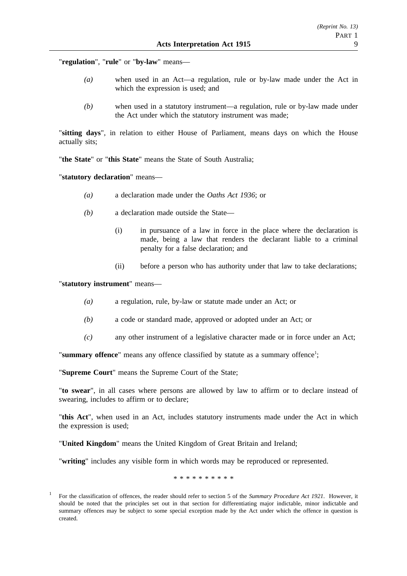"**regulation**", "**rule**" or "**by-law**" means—

- *(a)* when used in an Act—a regulation, rule or by-law made under the Act in which the expression is used; and
- *(b)* when used in a statutory instrument—a regulation, rule or by-law made under the Act under which the statutory instrument was made;

"**sitting days**", in relation to either House of Parliament, means days on which the House actually sits;

"**the State**" or "**this State**" means the State of South Australia;

"**statutory declaration**" means—

- *(a)* a declaration made under the *Oaths Act 1936*; or
- *(b)* a declaration made outside the State—
	- (i) in pursuance of a law in force in the place where the declaration is made, being a law that renders the declarant liable to a criminal penalty for a false declaration; and
	- (ii) before a person who has authority under that law to take declarations;

"**statutory instrument**" means—

- *(a)* a regulation, rule, by-law or statute made under an Act; or
- *(b)* a code or standard made, approved or adopted under an Act; or
- *(c)* any other instrument of a legislative character made or in force under an Act;

"summary offence" means any offence classified by statute as a summary offence<sup>1</sup>;

"**Supreme Court**" means the Supreme Court of the State;

"**to swear**", in all cases where persons are allowed by law to affirm or to declare instead of swearing, includes to affirm or to declare;

"**this Act**", when used in an Act, includes statutory instruments made under the Act in which the expression is used;

"**United Kingdom**" means the United Kingdom of Great Britain and Ireland;

"**writing**" includes any visible form in which words may be reproduced or represented.

\*\*\*\*\*\*\*\*\*\*

<sup>1</sup> For the classification of offences, the reader should refer to section 5 of the *Summary Procedure Act 1921*. However, it should be noted that the principles set out in that section for differentiating major indictable, minor indictable and summary offences may be subject to some special exception made by the Act under which the offence in question is created.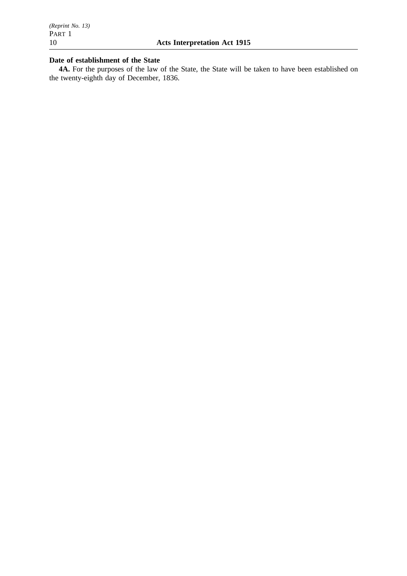# **Date of establishment of the State**

**4A.** For the purposes of the law of the State, the State will be taken to have been established on the twenty-eighth day of December, 1836.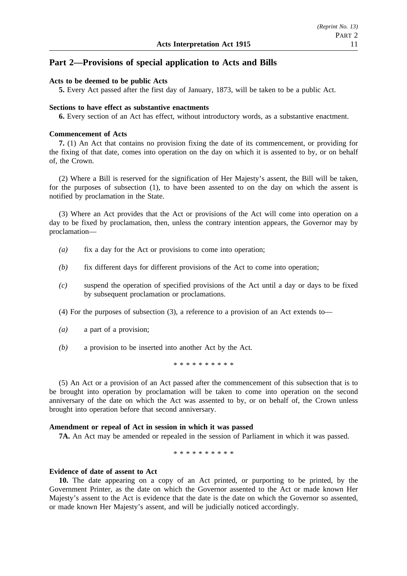# **Part 2—Provisions of special application to Acts and Bills**

#### **Acts to be deemed to be public Acts**

**5.** Every Act passed after the first day of January, 1873, will be taken to be a public Act.

#### **Sections to have effect as substantive enactments**

**6.** Every section of an Act has effect, without introductory words, as a substantive enactment.

#### **Commencement of Acts**

**7.** (1) An Act that contains no provision fixing the date of its commencement, or providing for the fixing of that date, comes into operation on the day on which it is assented to by, or on behalf of, the Crown.

(2) Where a Bill is reserved for the signification of Her Majesty's assent, the Bill will be taken, for the purposes of subsection (1), to have been assented to on the day on which the assent is notified by proclamation in the State.

(3) Where an Act provides that the Act or provisions of the Act will come into operation on a day to be fixed by proclamation, then, unless the contrary intention appears, the Governor may by proclamation—

- *(a)* fix a day for the Act or provisions to come into operation;
- *(b)* fix different days for different provisions of the Act to come into operation;
- *(c)* suspend the operation of specified provisions of the Act until a day or days to be fixed by subsequent proclamation or proclamations.
- (4) For the purposes of subsection (3), a reference to a provision of an Act extends to—
- *(a)* a part of a provision;
- *(b)* a provision to be inserted into another Act by the Act.

\*\*\*\*\*\*\*\*\*\*

(5) An Act or a provision of an Act passed after the commencement of this subsection that is to be brought into operation by proclamation will be taken to come into operation on the second anniversary of the date on which the Act was assented to by, or on behalf of, the Crown unless brought into operation before that second anniversary.

#### **Amendment or repeal of Act in session in which it was passed**

**7A.** An Act may be amended or repealed in the session of Parliament in which it was passed.

\*\*\*\*\*\*\*\*\*\*

### **Evidence of date of assent to Act**

**10.** The date appearing on a copy of an Act printed, or purporting to be printed, by the Government Printer, as the date on which the Governor assented to the Act or made known Her Majesty's assent to the Act is evidence that the date is the date on which the Governor so assented, or made known Her Majesty's assent, and will be judicially noticed accordingly.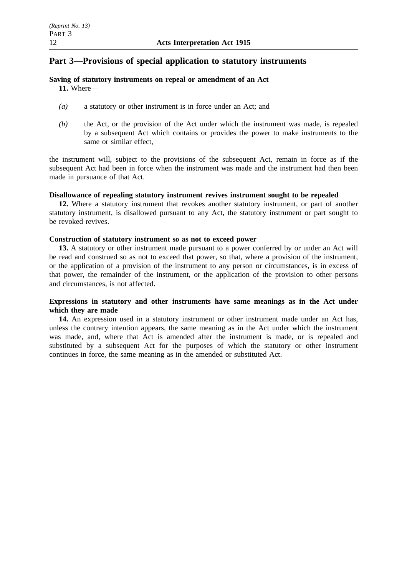# **Part 3—Provisions of special application to statutory instruments**

# **Saving of statutory instruments on repeal or amendment of an Act**

**11.** Where—

- *(a)* a statutory or other instrument is in force under an Act; and
- *(b)* the Act, or the provision of the Act under which the instrument was made, is repealed by a subsequent Act which contains or provides the power to make instruments to the same or similar effect,

the instrument will, subject to the provisions of the subsequent Act, remain in force as if the subsequent Act had been in force when the instrument was made and the instrument had then been made in pursuance of that Act.

# **Disallowance of repealing statutory instrument revives instrument sought to be repealed**

**12.** Where a statutory instrument that revokes another statutory instrument, or part of another statutory instrument, is disallowed pursuant to any Act, the statutory instrument or part sought to be revoked revives.

# **Construction of statutory instrument so as not to exceed power**

**13.** A statutory or other instrument made pursuant to a power conferred by or under an Act will be read and construed so as not to exceed that power, so that, where a provision of the instrument, or the application of a provision of the instrument to any person or circumstances, is in excess of that power, the remainder of the instrument, or the application of the provision to other persons and circumstances, is not affected.

# **Expressions in statutory and other instruments have same meanings as in the Act under which they are made**

**14.** An expression used in a statutory instrument or other instrument made under an Act has, unless the contrary intention appears, the same meaning as in the Act under which the instrument was made, and, where that Act is amended after the instrument is made, or is repealed and substituted by a subsequent Act for the purposes of which the statutory or other instrument continues in force, the same meaning as in the amended or substituted Act.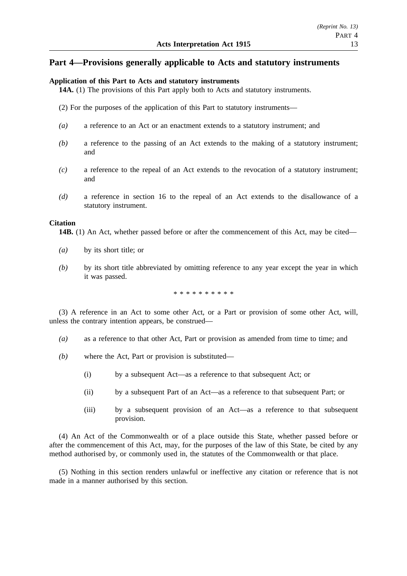# **Part 4—Provisions generally applicable to Acts and statutory instruments**

### **Application of this Part to Acts and statutory instruments**

**14A.** (1) The provisions of this Part apply both to Acts and statutory instruments.

- (2) For the purposes of the application of this Part to statutory instruments—
- *(a)* a reference to an Act or an enactment extends to a statutory instrument; and
- *(b)* a reference to the passing of an Act extends to the making of a statutory instrument; and
- *(c)* a reference to the repeal of an Act extends to the revocation of a statutory instrument; and
- *(d)* a reference in section 16 to the repeal of an Act extends to the disallowance of a statutory instrument.

### **Citation**

**14B.** (1) An Act, whether passed before or after the commencement of this Act, may be cited—

- *(a)* by its short title; or
- *(b)* by its short title abbreviated by omitting reference to any year except the year in which it was passed.

\*\*\*\*\*\*\*\*\*\*

(3) A reference in an Act to some other Act, or a Part or provision of some other Act, will, unless the contrary intention appears, be construed—

- *(a)* as a reference to that other Act, Part or provision as amended from time to time; and
- *(b)* where the Act, Part or provision is substituted—
	- (i) by a subsequent Act—as a reference to that subsequent Act; or
	- (ii) by a subsequent Part of an Act—as a reference to that subsequent Part; or
	- (iii) by a subsequent provision of an Act—as a reference to that subsequent provision.

(4) An Act of the Commonwealth or of a place outside this State, whether passed before or after the commencement of this Act, may, for the purposes of the law of this State, be cited by any method authorised by, or commonly used in, the statutes of the Commonwealth or that place.

(5) Nothing in this section renders unlawful or ineffective any citation or reference that is not made in a manner authorised by this section.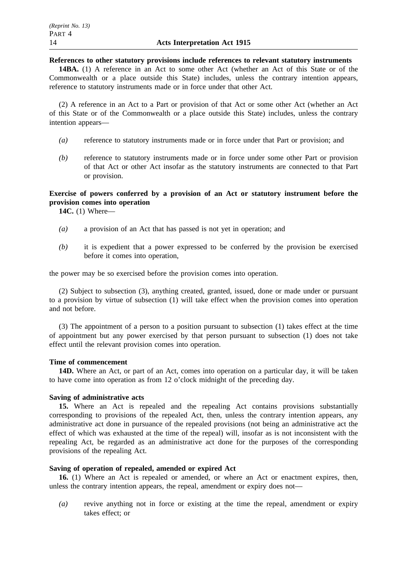#### **References to other statutory provisions include references to relevant statutory instruments**

**14BA.** (1) A reference in an Act to some other Act (whether an Act of this State or of the Commonwealth or a place outside this State) includes, unless the contrary intention appears, reference to statutory instruments made or in force under that other Act.

(2) A reference in an Act to a Part or provision of that Act or some other Act (whether an Act of this State or of the Commonwealth or a place outside this State) includes, unless the contrary intention appears—

- *(a)* reference to statutory instruments made or in force under that Part or provision; and
- *(b)* reference to statutory instruments made or in force under some other Part or provision of that Act or other Act insofar as the statutory instruments are connected to that Part or provision.

# **Exercise of powers conferred by a provision of an Act or statutory instrument before the provision comes into operation**

**14C.** (1) Where—

- *(a)* a provision of an Act that has passed is not yet in operation; and
- *(b)* it is expedient that a power expressed to be conferred by the provision be exercised before it comes into operation,

the power may be so exercised before the provision comes into operation.

(2) Subject to subsection (3), anything created, granted, issued, done or made under or pursuant to a provision by virtue of subsection (1) will take effect when the provision comes into operation and not before.

(3) The appointment of a person to a position pursuant to subsection (1) takes effect at the time of appointment but any power exercised by that person pursuant to subsection (1) does not take effect until the relevant provision comes into operation.

### **Time of commencement**

**14D.** Where an Act, or part of an Act, comes into operation on a particular day, it will be taken to have come into operation as from 12 o'clock midnight of the preceding day.

### **Saving of administrative acts**

**15.** Where an Act is repealed and the repealing Act contains provisions substantially corresponding to provisions of the repealed Act, then, unless the contrary intention appears, any administrative act done in pursuance of the repealed provisions (not being an administrative act the effect of which was exhausted at the time of the repeal) will, insofar as is not inconsistent with the repealing Act, be regarded as an administrative act done for the purposes of the corresponding provisions of the repealing Act.

# **Saving of operation of repealed, amended or expired Act**

**16.** (1) Where an Act is repealed or amended, or where an Act or enactment expires, then, unless the contrary intention appears, the repeal, amendment or expiry does not—

*(a)* revive anything not in force or existing at the time the repeal, amendment or expiry takes effect; or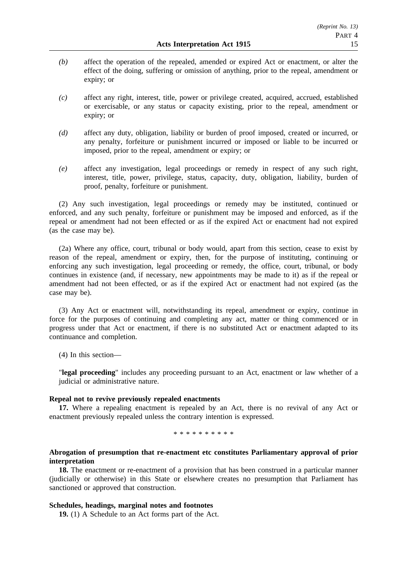- *(b)* affect the operation of the repealed, amended or expired Act or enactment, or alter the effect of the doing, suffering or omission of anything, prior to the repeal, amendment or expiry; or
- *(c)* affect any right, interest, title, power or privilege created, acquired, accrued, established or exercisable, or any status or capacity existing, prior to the repeal, amendment or expiry; or
- *(d)* affect any duty, obligation, liability or burden of proof imposed, created or incurred, or any penalty, forfeiture or punishment incurred or imposed or liable to be incurred or imposed, prior to the repeal, amendment or expiry; or
- *(e)* affect any investigation, legal proceedings or remedy in respect of any such right, interest, title, power, privilege, status, capacity, duty, obligation, liability, burden of proof, penalty, forfeiture or punishment.

(2) Any such investigation, legal proceedings or remedy may be instituted, continued or enforced, and any such penalty, forfeiture or punishment may be imposed and enforced, as if the repeal or amendment had not been effected or as if the expired Act or enactment had not expired (as the case may be).

(2a) Where any office, court, tribunal or body would, apart from this section, cease to exist by reason of the repeal, amendment or expiry, then, for the purpose of instituting, continuing or enforcing any such investigation, legal proceeding or remedy, the office, court, tribunal, or body continues in existence (and, if necessary, new appointments may be made to it) as if the repeal or amendment had not been effected, or as if the expired Act or enactment had not expired (as the case may be).

(3) Any Act or enactment will, notwithstanding its repeal, amendment or expiry, continue in force for the purposes of continuing and completing any act, matter or thing commenced or in progress under that Act or enactment, if there is no substituted Act or enactment adapted to its continuance and completion.

(4) In this section—

"**legal proceeding**" includes any proceeding pursuant to an Act, enactment or law whether of a judicial or administrative nature.

### **Repeal not to revive previously repealed enactments**

**17.** Where a repealing enactment is repealed by an Act, there is no revival of any Act or enactment previously repealed unless the contrary intention is expressed.

#### \*\*\*\*\*\*\*\*\*\*

# **Abrogation of presumption that re-enactment etc constitutes Parliamentary approval of prior interpretation**

**18.** The enactment or re-enactment of a provision that has been construed in a particular manner (judicially or otherwise) in this State or elsewhere creates no presumption that Parliament has sanctioned or approved that construction.

## **Schedules, headings, marginal notes and footnotes**

**19.** (1) A Schedule to an Act forms part of the Act.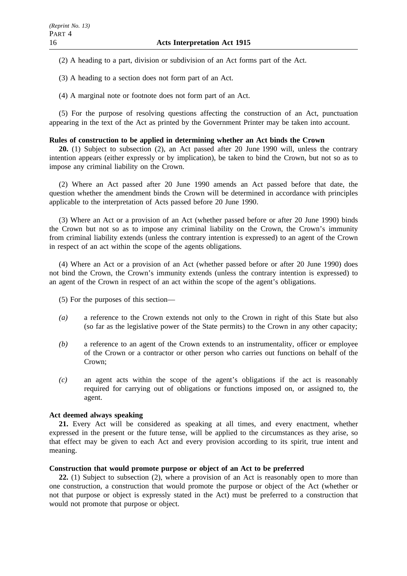(2) A heading to a part, division or subdivision of an Act forms part of the Act.

(3) A heading to a section does not form part of an Act.

(4) A marginal note or footnote does not form part of an Act.

(5) For the purpose of resolving questions affecting the construction of an Act, punctuation appearing in the text of the Act as printed by the Government Printer may be taken into account.

### **Rules of construction to be applied in determining whether an Act binds the Crown**

**20.** (1) Subject to subsection (2), an Act passed after 20 June 1990 will, unless the contrary intention appears (either expressly or by implication), be taken to bind the Crown, but not so as to impose any criminal liability on the Crown.

(2) Where an Act passed after 20 June 1990 amends an Act passed before that date, the question whether the amendment binds the Crown will be determined in accordance with principles applicable to the interpretation of Acts passed before 20 June 1990.

(3) Where an Act or a provision of an Act (whether passed before or after 20 June 1990) binds the Crown but not so as to impose any criminal liability on the Crown, the Crown's immunity from criminal liability extends (unless the contrary intention is expressed) to an agent of the Crown in respect of an act within the scope of the agents obligations.

(4) Where an Act or a provision of an Act (whether passed before or after 20 June 1990) does not bind the Crown, the Crown's immunity extends (unless the contrary intention is expressed) to an agent of the Crown in respect of an act within the scope of the agent's obligations.

(5) For the purposes of this section—

- *(a)* a reference to the Crown extends not only to the Crown in right of this State but also (so far as the legislative power of the State permits) to the Crown in any other capacity;
- *(b)* a reference to an agent of the Crown extends to an instrumentality, officer or employee of the Crown or a contractor or other person who carries out functions on behalf of the Crown;
- *(c)* an agent acts within the scope of the agent's obligations if the act is reasonably required for carrying out of obligations or functions imposed on, or assigned to, the agent.

## **Act deemed always speaking**

**21.** Every Act will be considered as speaking at all times, and every enactment, whether expressed in the present or the future tense, will be applied to the circumstances as they arise, so that effect may be given to each Act and every provision according to its spirit, true intent and meaning.

## **Construction that would promote purpose or object of an Act to be preferred**

**22.** (1) Subject to subsection (2), where a provision of an Act is reasonably open to more than one construction, a construction that would promote the purpose or object of the Act (whether or not that purpose or object is expressly stated in the Act) must be preferred to a construction that would not promote that purpose or object.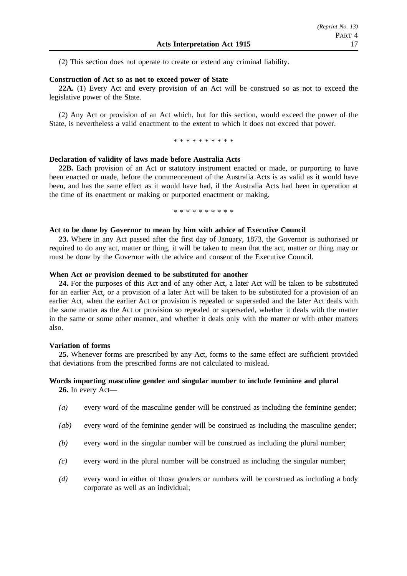(2) This section does not operate to create or extend any criminal liability.

### **Construction of Act so as not to exceed power of State**

**22A.** (1) Every Act and every provision of an Act will be construed so as not to exceed the legislative power of the State.

(2) Any Act or provision of an Act which, but for this section, would exceed the power of the State, is nevertheless a valid enactment to the extent to which it does not exceed that power.

\*\*\*\*\*\*\*\*\*\*

#### **Declaration of validity of laws made before Australia Acts**

**22B.** Each provision of an Act or statutory instrument enacted or made, or purporting to have been enacted or made, before the commencement of the Australia Acts is as valid as it would have been, and has the same effect as it would have had, if the Australia Acts had been in operation at the time of its enactment or making or purported enactment or making.

\*\*\*\*\*\*\*\*\*\*

#### **Act to be done by Governor to mean by him with advice of Executive Council**

**23.** Where in any Act passed after the first day of January, 1873, the Governor is authorised or required to do any act, matter or thing, it will be taken to mean that the act, matter or thing may or must be done by the Governor with the advice and consent of the Executive Council.

#### **When Act or provision deemed to be substituted for another**

**24.** For the purposes of this Act and of any other Act, a later Act will be taken to be substituted for an earlier Act, or a provision of a later Act will be taken to be substituted for a provision of an earlier Act, when the earlier Act or provision is repealed or superseded and the later Act deals with the same matter as the Act or provision so repealed or superseded, whether it deals with the matter in the same or some other manner, and whether it deals only with the matter or with other matters also.

### **Variation of forms**

**25.** Whenever forms are prescribed by any Act, forms to the same effect are sufficient provided that deviations from the prescribed forms are not calculated to mislead.

## **Words importing masculine gender and singular number to include feminine and plural 26.** In every Act—

- *(a)* every word of the masculine gender will be construed as including the feminine gender;
- *(ab)* every word of the feminine gender will be construed as including the masculine gender;
- *(b)* every word in the singular number will be construed as including the plural number;
- *(c)* every word in the plural number will be construed as including the singular number;
- *(d)* every word in either of those genders or numbers will be construed as including a body corporate as well as an individual;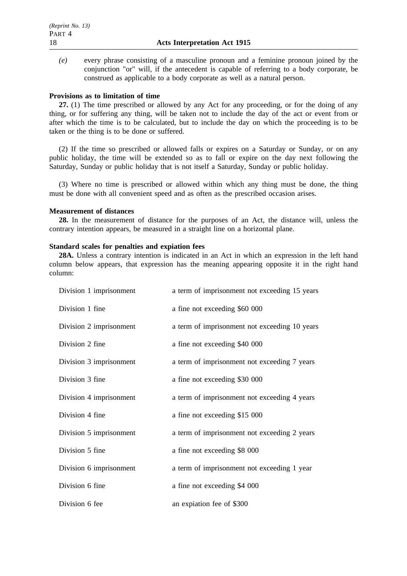*(e)* every phrase consisting of a masculine pronoun and a feminine pronoun joined by the conjunction "or" will, if the antecedent is capable of referring to a body corporate, be construed as applicable to a body corporate as well as a natural person.

### **Provisions as to limitation of time**

**27.** (1) The time prescribed or allowed by any Act for any proceeding, or for the doing of any thing, or for suffering any thing, will be taken not to include the day of the act or event from or after which the time is to be calculated, but to include the day on which the proceeding is to be taken or the thing is to be done or suffered.

(2) If the time so prescribed or allowed falls or expires on a Saturday or Sunday, or on any public holiday, the time will be extended so as to fall or expire on the day next following the Saturday, Sunday or public holiday that is not itself a Saturday, Sunday or public holiday.

(3) Where no time is prescribed or allowed within which any thing must be done, the thing must be done with all convenient speed and as often as the prescribed occasion arises.

#### **Measurement of distances**

**28.** In the measurement of distance for the purposes of an Act, the distance will, unless the contrary intention appears, be measured in a straight line on a horizontal plane.

# **Standard scales for penalties and expiation fees**

**28A.** Unless a contrary intention is indicated in an Act in which an expression in the left hand column below appears, that expression has the meaning appearing opposite it in the right hand column:

| Division 1 imprisonment | a term of imprisonment not exceeding 15 years |
|-------------------------|-----------------------------------------------|
| Division 1 fine         | a fine not exceeding \$60 000                 |
| Division 2 imprisonment | a term of imprisonment not exceeding 10 years |
| Division 2 fine         | a fine not exceeding \$40 000                 |
| Division 3 imprisonment | a term of imprisonment not exceeding 7 years  |
| Division 3 fine         | a fine not exceeding \$30 000                 |
| Division 4 imprisonment | a term of imprisonment not exceeding 4 years  |
| Division 4 fine         | a fine not exceeding \$15 000                 |
| Division 5 imprisonment | a term of imprisonment not exceeding 2 years  |
| Division 5 fine         | a fine not exceeding \$8 000                  |
| Division 6 imprisonment | a term of imprisonment not exceeding 1 year   |
| Division 6 fine         | a fine not exceeding \$4 000                  |
| Division 6 fee          | an expiation fee of \$300                     |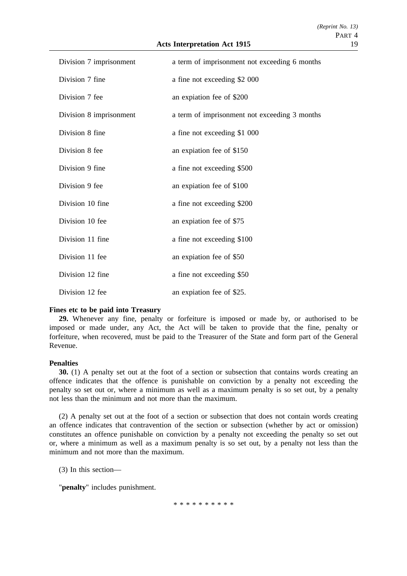| Division 7 imprisonment | a term of imprisonment not exceeding 6 months |
|-------------------------|-----------------------------------------------|
| Division 7 fine         | a fine not exceeding \$2 000                  |
| Division 7 fee          | an expiation fee of \$200                     |
| Division 8 imprisonment | a term of imprisonment not exceeding 3 months |
| Division 8 fine         | a fine not exceeding \$1 000                  |
| Division 8 fee          | an expiation fee of \$150                     |
| Division 9 fine         | a fine not exceeding \$500                    |
| Division 9 fee          | an expiation fee of \$100                     |
| Division 10 fine        | a fine not exceeding \$200                    |
| Division 10 fee         | an expiation fee of \$75                      |
| Division 11 fine        | a fine not exceeding \$100                    |
| Division 11 fee         | an expiation fee of \$50                      |
| Division 12 fine        | a fine not exceeding \$50                     |
| Division 12 fee         | an expiation fee of \$25.                     |

## **Fines etc to be paid into Treasury**

**29.** Whenever any fine, penalty or forfeiture is imposed or made by, or authorised to be imposed or made under, any Act, the Act will be taken to provide that the fine, penalty or forfeiture, when recovered, must be paid to the Treasurer of the State and form part of the General Revenue.

### **Penalties**

**30.** (1) A penalty set out at the foot of a section or subsection that contains words creating an offence indicates that the offence is punishable on conviction by a penalty not exceeding the penalty so set out or, where a minimum as well as a maximum penalty is so set out, by a penalty not less than the minimum and not more than the maximum.

(2) A penalty set out at the foot of a section or subsection that does not contain words creating an offence indicates that contravention of the section or subsection (whether by act or omission) constitutes an offence punishable on conviction by a penalty not exceeding the penalty so set out or, where a minimum as well as a maximum penalty is so set out, by a penalty not less than the minimum and not more than the maximum.

(3) In this section—

"**penalty**" includes punishment.

\*\*\*\*\*\*\*\*\*\*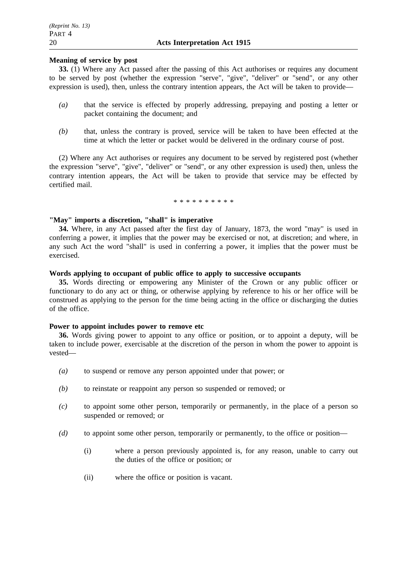## **Meaning of service by post**

**33.** (1) Where any Act passed after the passing of this Act authorises or requires any document to be served by post (whether the expression "serve", "give", "deliver" or "send", or any other expression is used), then, unless the contrary intention appears, the Act will be taken to provide—

- *(a)* that the service is effected by properly addressing, prepaying and posting a letter or packet containing the document; and
- *(b)* that, unless the contrary is proved, service will be taken to have been effected at the time at which the letter or packet would be delivered in the ordinary course of post.

(2) Where any Act authorises or requires any document to be served by registered post (whether the expression "serve", "give", "deliver" or "send", or any other expression is used) then, unless the contrary intention appears, the Act will be taken to provide that service may be effected by certified mail.

\*\*\*\*\*\*\*\*\*\*

# **"May" imports a discretion, "shall" is imperative**

**34.** Where, in any Act passed after the first day of January, 1873, the word "may" is used in conferring a power, it implies that the power may be exercised or not, at discretion; and where, in any such Act the word "shall" is used in conferring a power, it implies that the power must be exercised.

## **Words applying to occupant of public office to apply to successive occupants**

**35.** Words directing or empowering any Minister of the Crown or any public officer or functionary to do any act or thing, or otherwise applying by reference to his or her office will be construed as applying to the person for the time being acting in the office or discharging the duties of the office.

### **Power to appoint includes power to remove etc**

**36.** Words giving power to appoint to any office or position, or to appoint a deputy, will be taken to include power, exercisable at the discretion of the person in whom the power to appoint is vested—

- *(a)* to suspend or remove any person appointed under that power; or
- *(b)* to reinstate or reappoint any person so suspended or removed; or
- *(c)* to appoint some other person, temporarily or permanently, in the place of a person so suspended or removed; or
- *(d)* to appoint some other person, temporarily or permanently, to the office or position—
	- (i) where a person previously appointed is, for any reason, unable to carry out the duties of the office or position; or
	- (ii) where the office or position is vacant.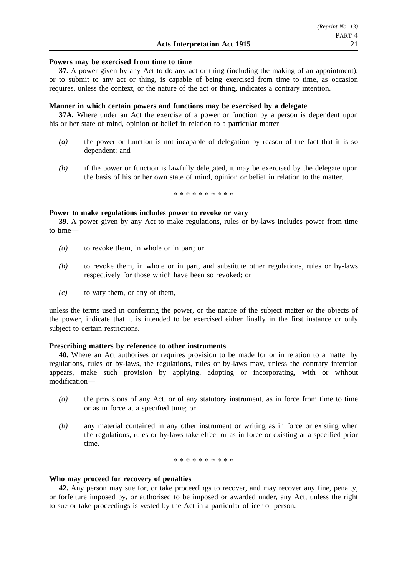#### **Powers may be exercised from time to time**

**37.** A power given by any Act to do any act or thing (including the making of an appointment), or to submit to any act or thing, is capable of being exercised from time to time, as occasion requires, unless the context, or the nature of the act or thing, indicates a contrary intention.

#### **Manner in which certain powers and functions may be exercised by a delegate**

**37A.** Where under an Act the exercise of a power or function by a person is dependent upon his or her state of mind, opinion or belief in relation to a particular matter—

- *(a)* the power or function is not incapable of delegation by reason of the fact that it is so dependent; and
- *(b)* if the power or function is lawfully delegated, it may be exercised by the delegate upon the basis of his or her own state of mind, opinion or belief in relation to the matter.

\*\*\*\*\*\*\*\*\*\*

#### **Power to make regulations includes power to revoke or vary**

**39.** A power given by any Act to make regulations, rules or by-laws includes power from time to time—

- *(a)* to revoke them, in whole or in part; or
- *(b)* to revoke them, in whole or in part, and substitute other regulations, rules or by-laws respectively for those which have been so revoked; or
- *(c)* to vary them, or any of them,

unless the terms used in conferring the power, or the nature of the subject matter or the objects of the power, indicate that it is intended to be exercised either finally in the first instance or only subject to certain restrictions.

#### **Prescribing matters by reference to other instruments**

**40.** Where an Act authorises or requires provision to be made for or in relation to a matter by regulations, rules or by-laws, the regulations, rules or by-laws may, unless the contrary intention appears, make such provision by applying, adopting or incorporating, with or without modification—

- *(a)* the provisions of any Act, or of any statutory instrument, as in force from time to time or as in force at a specified time; or
- *(b)* any material contained in any other instrument or writing as in force or existing when the regulations, rules or by-laws take effect or as in force or existing at a specified prior time.

\*\*\*\*\*\*\*\*\*\*

#### **Who may proceed for recovery of penalties**

**42.** Any person may sue for, or take proceedings to recover, and may recover any fine, penalty, or forfeiture imposed by, or authorised to be imposed or awarded under, any Act, unless the right to sue or take proceedings is vested by the Act in a particular officer or person.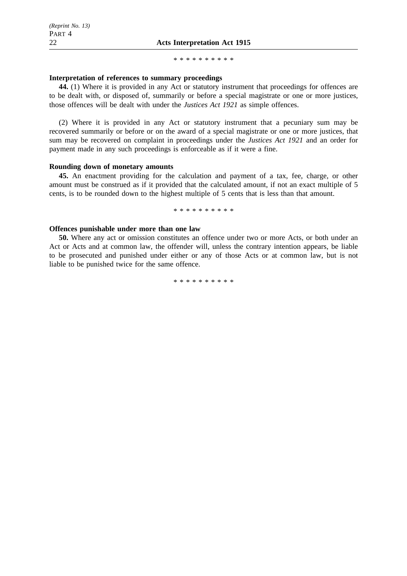#### \*\*\*\*\*\*\*\*\*\*

### **Interpretation of references to summary proceedings**

**44.** (1) Where it is provided in any Act or statutory instrument that proceedings for offences are to be dealt with, or disposed of, summarily or before a special magistrate or one or more justices, those offences will be dealt with under the *Justices Act 1921* as simple offences.

(2) Where it is provided in any Act or statutory instrument that a pecuniary sum may be recovered summarily or before or on the award of a special magistrate or one or more justices, that sum may be recovered on complaint in proceedings under the *Justices Act 1921* and an order for payment made in any such proceedings is enforceable as if it were a fine.

#### **Rounding down of monetary amounts**

**45.** An enactment providing for the calculation and payment of a tax, fee, charge, or other amount must be construed as if it provided that the calculated amount, if not an exact multiple of 5 cents, is to be rounded down to the highest multiple of 5 cents that is less than that amount.

\*\*\*\*\*\*\*\*\*\*

## **Offences punishable under more than one law**

**50.** Where any act or omission constitutes an offence under two or more Acts, or both under an Act or Acts and at common law, the offender will, unless the contrary intention appears, be liable to be prosecuted and punished under either or any of those Acts or at common law, but is not liable to be punished twice for the same offence.

\*\*\*\*\*\*\*\*\*\*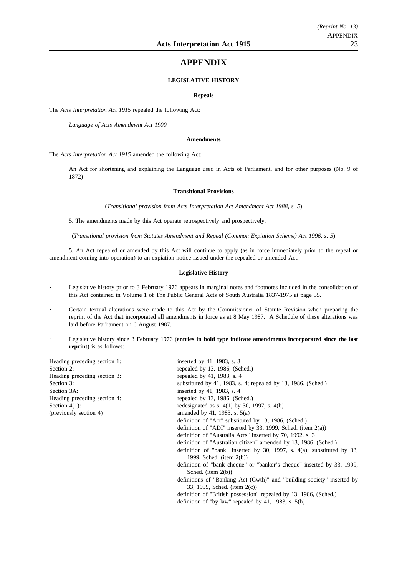# **APPENDIX**

#### **LEGISLATIVE HISTORY**

#### **Repeals**

The *Acts Interpretation Act 1915* repealed the following Act:

*Language of Acts Amendment Act 1900*

#### **Amendments**

The *Acts Interpretation Act 1915* amended the following Act:

An Act for shortening and explaining the Language used in Acts of Parliament, and for other purposes (No. 9 of 1872)

#### **Transitional Provisions**

(*Transitional provision from Acts Interpretation Act Amendment Act 1988, s. 5*)

5. The amendments made by this Act operate retrospectively and prospectively.

(*Transitional provision from Statutes Amendment and Repeal (Common Expiation Scheme) Act 1996, s. 5*)

5. An Act repealed or amended by this Act will continue to apply (as in force immediately prior to the repeal or amendment coming into operation) to an expiation notice issued under the repealed or amended Act.

#### **Legislative History**

- Legislative history prior to 3 February 1976 appears in marginal notes and footnotes included in the consolidation of this Act contained in Volume 1 of The Public General Acts of South Australia 1837-1975 at page 55.
- Certain textual alterations were made to this Act by the Commissioner of Statute Revision when preparing the reprint of the Act that incorporated all amendments in force as at 8 May 1987. A Schedule of these alterations was laid before Parliament on 6 August 1987.
- Legislative history since 3 February 1976 (**entries in bold type indicate amendments incorporated since the last reprint**) is as follows:

| Heading preceding section 1: | inserted by 41, 1983, s. 3                                                                               |
|------------------------------|----------------------------------------------------------------------------------------------------------|
| Section 2:                   | repealed by 13, 1986, (Sched.)                                                                           |
| Heading preceding section 3: | repealed by 41, 1983, s. 4                                                                               |
| Section 3:                   | substituted by 41, 1983, s. 4; repealed by 13, 1986, (Sched.)                                            |
| Section 3A:                  | inserted by 41, 1983, s. 4                                                                               |
| Heading preceding section 4: | repealed by 13, 1986, (Sched.)                                                                           |
| Section $4(1)$ :             | redesignated as s. $4(1)$ by 30, 1997, s. $4(b)$                                                         |
| (previously section 4)       | amended by 41, 1983, s. $5(a)$                                                                           |
|                              | definition of "Act" substituted by 13, 1986, (Sched.)                                                    |
|                              | definition of "ADI" inserted by 33, 1999, Sched. (item $2(a)$ )                                          |
|                              | definition of "Australia Acts" inserted by 70, 1992, s. 3                                                |
|                              | definition of "Australian citizen" amended by 13, 1986, (Sched.)                                         |
|                              | definition of "bank" inserted by 30, 1997, s. $4(a)$ ; substituted by 33,<br>1999, Sched. (item $2(b)$ ) |
|                              | definition of "bank cheque" or "banker's cheque" inserted by 33, 1999,                                   |
|                              | Sched. (item $2(b)$ )                                                                                    |
|                              | definitions of "Banking Act (Cwth)" and "building society" inserted by<br>33, 1999, Sched. (item 2(c))   |
|                              | definition of "British possession" repealed by 13, 1986, (Sched.)                                        |
|                              | definition of "by-law" repealed by 41, 1983, s. $5(b)$                                                   |
|                              |                                                                                                          |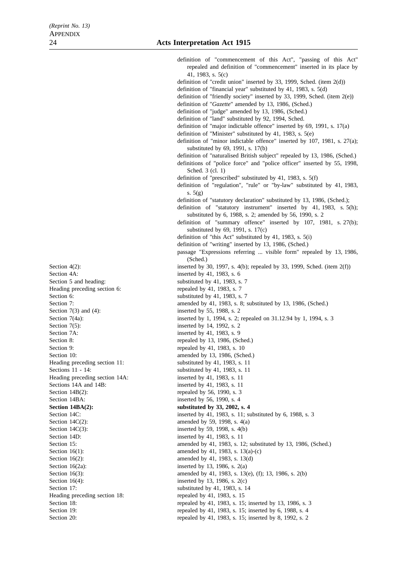Section 4A: inserted by 41, 1983, s. 6 Section 5 and heading: substituted by 41, 1983, s. 7 Heading preceding section 6: repealed by 41, 1983, s. 7 Section 6: substituted by 41, 1983, s. 7 Section 7(3) and (4): inserted by 55, 1988, s. 2 Section  $7(5)$ : inserted by 14, 1992, s. 2 Section 7A: inserted by 41, 1983, s. 9 Section 9: repealed by 41, 1983, s. 10 Heading preceding section 14A: inserted by 41, 1983, s. 11<br>Sections 14A and 14B: inserted by 41, 1983, s. 11 Section  $14B(2)$ : repealed by 56, 1990, s. 3 Section 14BA: inserted by 56, 1990, s. 4 Section  $14C(3)$ : inserted by 59, 1998, s.  $4(b)$ Section 14D: inserted by 41, 1983, s. 11 Section  $16(2a)$ : inserted by 13, 1986, s.  $2(a)$ Heading preceding section 18: repealed by 41, 1983, s. 15

definition of "commencement of this Act", "passing of this Act" repealed and definition of "commencement" inserted in its place by 41, 1983, s. 5(c) definition of "credit union" inserted by 33, 1999, Sched. (item 2(d)) definition of "financial year" substituted by 41, 1983, s. 5(d) definition of "friendly society" inserted by 33, 1999, Sched. (item 2(e)) definition of "*Gazette*" amended by 13, 1986, (Sched.) definition of "judge" amended by 13, 1986, (Sched.) definition of "land" substituted by 92, 1994, Sched. definition of "major indictable offence" inserted by 69, 1991, s. 17(a) definition of "Minister" substituted by 41, 1983, s. 5(e) definition of "minor indictable offence" inserted by 107, 1981, s. 27(a); substituted by 69, 1991, s. 17(b) definition of "naturalised British subject" repealed by 13, 1986, (Sched.) definitions of "police force" and "police officer" inserted by 55, 1998, Sched. 3 (cl. 1) definition of "prescribed" substituted by 41, 1983, s. 5(f) definition of "regulation", "rule" or "by-law" substituted by 41, 1983, s. 5(g) definition of "statutory declaration" substituted by 13, 1986, (Sched.); definition of "statutory instrument" inserted by 41, 1983, s. 5(h); substituted by 6, 1988, s. 2; amended by 56, 1990, s. 2 definition of "summary offence" inserted by 107, 1981, s. 27(b); substituted by 69, 1991, s. 17(c) definition of "this Act" substituted by 41, 1983, s. 5(i) definition of "writing" inserted by 13, 1986, (Sched.) passage "Expressions referring ... visible form" repealed by 13, 1986, (Sched.) Section 4(2): inserted by 30, 1997, s. 4(b); repealed by 33, 1999, Sched. (item 2(f)) Section 7: amended by 41, 1983, s. 8; substituted by 13, 1986, (Sched.) Section 7(4a): inserted by 1, 1994, s. 2; repealed on 31.12.94 by 1, 1994, s. 3 Section 8: repealed by 13, 1986, (Sched.) Section 10: amended by 13, 1986, (Sched.) Heading preceding section 11: substituted by 41, 1983, s. 11 Sections 11 - 14: substituted by 41, 1983, s. 11 inserted by 41, 1983, s.  $11$ **Section 14BA(2):** substituted by 33, 2002, s. 4 Section 14C: inserted by 41, 1983, s. 11; substituted by 6, 1988, s. 3 Section 14C(2): amended by 59, 1998, s. 4(a) Section 15: amended by 41, 1983, s. 12; substituted by 13, 1986, (Sched.) Section 16(1): amended by 41, 1983, s. 13(a)-(c) Section 16(2): amended by 41, 1983, s. 13(d) Section 16(3): amended by 41, 1983, s. 13(e), (f); 13, 1986, s. 2(b) Section  $16(4)$ : inserted by 13, 1986, s.  $2(c)$ Section 17: substituted by 41, 1983, s. 14 Section 18: repealed by 41, 1983, s. 15; inserted by 13, 1986, s. 3 Section 19: repealed by 41, 1983, s. 15; inserted by 6, 1988, s. 4

Section 20: repealed by 41, 1983, s. 15; inserted by 8, 1992, s. 2